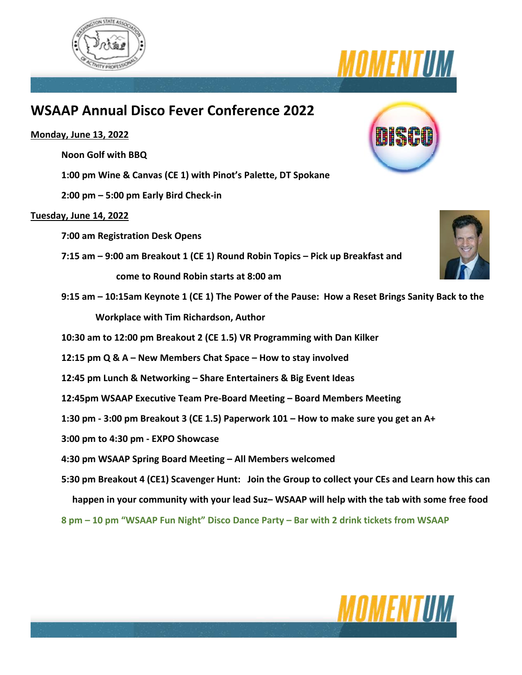



# **WSAAP Annual Disco Fever Conference 2022**

# **Monday, June 13, 2022**

**Noon Golf with BBQ** 

**1:00 pm Wine & Canvas (CE 1) with Pinot's Palette, DT Spokane** 

**2:00 pm – 5:00 pm Early Bird Check-in** 

# **Tuesday, June 14, 2022**

**7:00 am Registration Desk Opens** 

**7:15 am – 9:00 am Breakout 1 (CE 1) Round Robin Topics – Pick up Breakfast and come to Round Robin starts at 8:00 am** 

- **9:15 am – 10:15am Keynote 1 (CE 1) The Power of the Pause: How a Reset Brings Sanity Back to the Workplace with Tim Richardson, Author**
- **10:30 am to 12:00 pm Breakout 2 (CE 1.5) VR Programming with Dan Kilker**
- **12:15 pm Q & A – New Members Chat Space – How to stay involved**
- **12:45 pm Lunch & Networking – Share Entertainers & Big Event Ideas**
- **12:45pm WSAAP Executive Team Pre-Board Meeting – Board Members Meeting**
- **1:30 pm - 3:00 pm Breakout 3 (CE 1.5) Paperwork 101 – How to make sure you get an A+**
- **3:00 pm to 4:30 pm - EXPO Showcase**
- **4:30 pm WSAAP Spring Board Meeting – All Members welcomed**
- **5:30 pm Breakout 4 (CE1) Scavenger Hunt: Join the Group to collect your CEs and Learn how this can happen in your community with your lead Suz– WSAAP will help with the tab with some free food**

**8 pm – 10 pm "WSAAP Fun Night" Disco Dance Party – Bar with 2 drink tickets from WSAAP** 



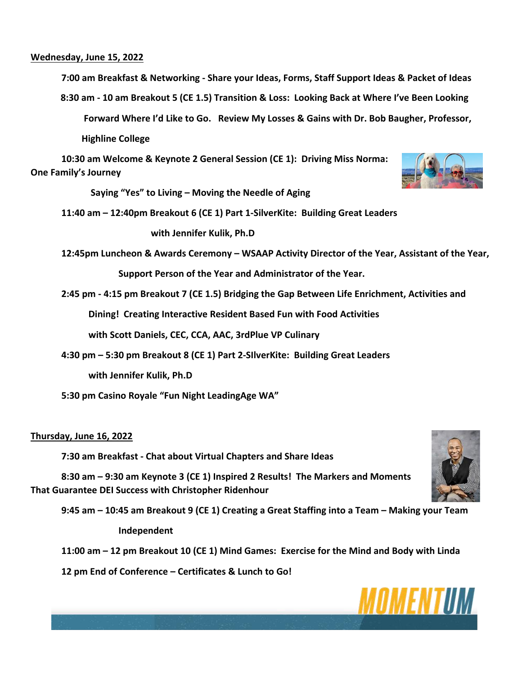### **Wednesday, June 15, 2022**

**7:00 am Breakfast & Networking - Share your Ideas, Forms, Staff Support Ideas & Packet of Ideas** 

 **8:30 am - 10 am Breakout 5 (CE 1.5) Transition & Loss: Looking Back at Where I've Been Looking** 

 **Forward Where I'd Like to Go. Review My Losses & Gains with Dr. Bob Baugher, Professor,** 

 **Highline College** 

**10:30 am Welcome & Keynote 2 General Session (CE 1): Driving Miss Norma: One Family's Journey**

 **Saying "Yes" to Living – Moving the Needle of Aging** 

**11:40 am – 12:40pm Breakout 6 (CE 1) Part 1-SilverKite: Building Great Leaders** 

 **with Jennifer Kulik, Ph.D** 

**12:45pm Luncheon & Awards Ceremony – WSAAP Activity Director of the Year, Assistant of the Year,**

 **Support Person of the Year and Administrator of the Year.** 

**2:45 pm - 4:15 pm Breakout 7 (CE 1.5) Bridging the Gap Between Life Enrichment, Activities and** 

 **Dining! Creating Interactive Resident Based Fun with Food Activities** 

 **with Scott Daniels, CEC, CCA, AAC, 3rdPlue VP Culinary** 

**4:30 pm – 5:30 pm Breakout 8 (CE 1) Part 2-SIlverKite: Building Great Leaders**

 **with Jennifer Kulik, Ph.D** 

**5:30 pm Casino Royale "Fun Night LeadingAge WA"**

### **Thursday, June 16, 2022**

**7:30 am Breakfast - Chat about Virtual Chapters and Share Ideas**

**8:30 am – 9:30 am Keynote 3 (CE 1) Inspired 2 Results! The Markers and Moments That Guarantee DEI Success with Christopher Ridenhour** 

**9:45 am – 10:45 am Breakout 9 (CE 1) Creating a Great Staffing into a Team – Making your Team Independent** 

**11:00 am – 12 pm Breakout 10 (CE 1) Mind Games: Exercise for the Mind and Body with Linda** 

**12 pm End of Conference – Certificates & Lunch to Go!**